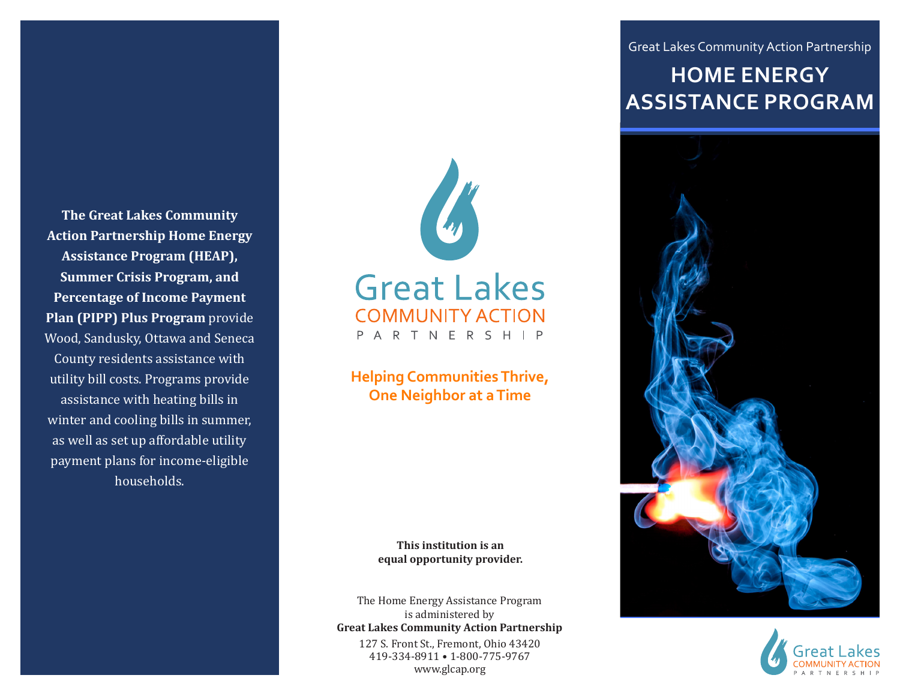**The Great Lakes Community Action Partnership Home Energy Assistance Program (HEAP), Summer Crisis Program, and Percentage of Income Payment Plan (PIPP) Plus Program** provide Wood, Sandusky, Ottawa and Seneca County residents assistance with utility bill costs. Programs provide assistance with heating bills in winter and cooling bills in summer, as well as set up affordable utility payment plans for income-eligible households.

**Great Lakes COMMUNITY ACTION** ARTNERSHIP

**Helping Communities Thrive, One Neighbor at a Time**

> **This institution is an equal opportunity provider.**

The Home Energy Assistance Program is administered by **Great Lakes Community Action Partnership** www.glcap.org 419-334-8911 • 1-800-775-9767 127 S. Front St., Fremont, Ohio 43420

Great Lakes Community Action Partnership

## **HOME ENERGY ASSISTANCE PROGRAM**